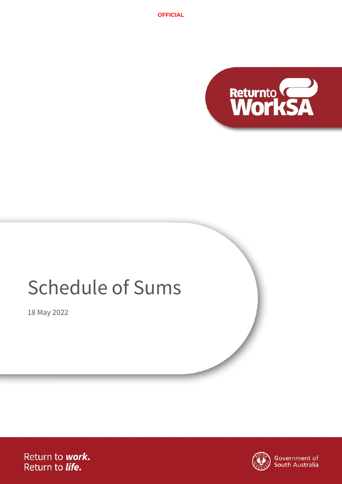

# Schedule of Sums

18 May 2022

Return to work. Return to life.



Government of<br>South Australia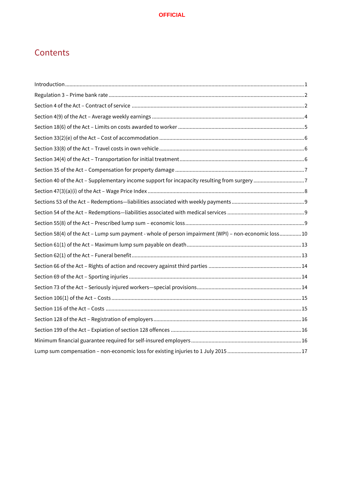# **Contents**

| Section 40 of the Act - Supplementary income support for incapacity resulting from surgery 7         |  |
|------------------------------------------------------------------------------------------------------|--|
|                                                                                                      |  |
|                                                                                                      |  |
|                                                                                                      |  |
|                                                                                                      |  |
| Section 58(4) of the Act - Lump sum payment - whole of person impairment (WPI) - non-economic loss10 |  |
|                                                                                                      |  |
|                                                                                                      |  |
|                                                                                                      |  |
|                                                                                                      |  |
|                                                                                                      |  |
|                                                                                                      |  |
|                                                                                                      |  |
|                                                                                                      |  |
|                                                                                                      |  |
|                                                                                                      |  |
|                                                                                                      |  |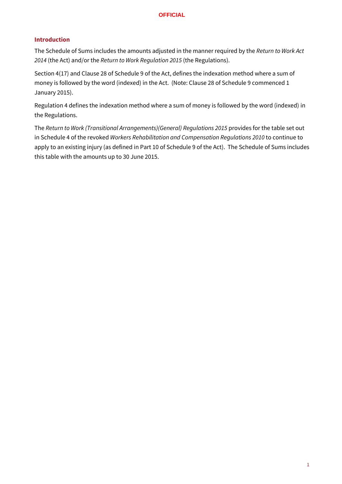# <span id="page-2-0"></span>**Introduction**

The Schedule of Sums includes the amounts adjusted in the manner required by the *Return to Work Act 2014* (the Act) and/or the *Return to Work Regulation 2015* (the Regulations).

Section 4(17) and Clause 28 of Schedule 9 of the Act, defines the indexation method where a sum of money is followed by the word (indexed) in the Act. (Note: Clause 28 of Schedule 9 commenced 1 January 2015).

Regulation 4 defines the indexation method where a sum of money is followed by the word (indexed) in the Regulations.

The *Return to Work (Transitional Arrangements)(General) Regulations 2015* provides for the table set out in Schedule 4 of the revoked *Workers Rehabilitation and Compensation Regulations 2010* to continue to apply to an existing injury (as defined in Part 10 of Schedule 9 of the Act). The Schedule of Sums includes this table with the amounts up to 30 June 2015.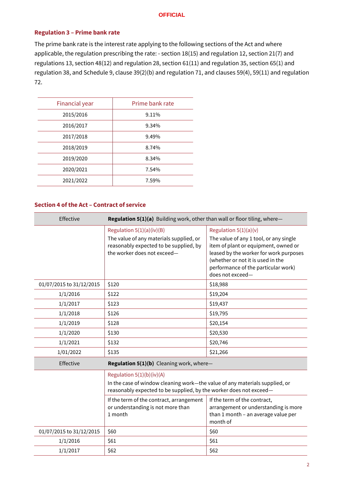#### <span id="page-3-0"></span>**Regulation 3 – Prime bank rate**

The prime bank rate is the interest rate applying to the following sections of the Act and where applicable, the regulation prescribing the rate: - section 18(15) and regulation 12, section 21(7) and regulations 13, section 48(12) and regulation 28, section 61(11) and regulation 35, section 65(1) and regulation 38, and Schedule 9, clause 39(2)(b) and regulation 71, and clauses 59(4), 59(11) and regulation 72.

| Financial year | Prime bank rate |
|----------------|-----------------|
| 2015/2016      | 9.11%           |
| 2016/2017      | 9.34%           |
| 2017/2018      | 9.49%           |
| 2018/2019      | 8.74%           |
| 2019/2020      | 8.34%           |
| 2020/2021      | 7.54%           |
| 2021/2022      | 7.59%           |
|                |                 |

#### <span id="page-3-1"></span>**Section 4 of the Act – Contract of service**

| Effective                | Regulation 5(1)(a) Building work, other than wall or floor tiling, where-                                                                                                        |                                                                                                                                                                                                                                                     |  |
|--------------------------|----------------------------------------------------------------------------------------------------------------------------------------------------------------------------------|-----------------------------------------------------------------------------------------------------------------------------------------------------------------------------------------------------------------------------------------------------|--|
|                          | Regulation $5(1)(a)(iv)(B)$<br>The value of any materials supplied, or<br>reasonably expected to be supplied, by<br>the worker does not exceed-                                  | Regulation $5(1)(a)(v)$<br>The value of any 1 tool, or any single<br>item of plant or equipment, owned or<br>leased by the worker for work purposes<br>(whether or not it is used in the<br>performance of the particular work)<br>does not exceed- |  |
| 01/07/2015 to 31/12/2015 | \$120                                                                                                                                                                            | \$18,988                                                                                                                                                                                                                                            |  |
| 1/1/2016                 | \$122<br>\$19,204                                                                                                                                                                |                                                                                                                                                                                                                                                     |  |
| 1/1/2017                 | \$123<br>\$19,437                                                                                                                                                                |                                                                                                                                                                                                                                                     |  |
| 1/1/2018                 | \$19,795<br>\$126                                                                                                                                                                |                                                                                                                                                                                                                                                     |  |
| 1/1/2019                 | \$128                                                                                                                                                                            | \$20,154                                                                                                                                                                                                                                            |  |
| 1/1/2020                 | \$130                                                                                                                                                                            | \$20,530                                                                                                                                                                                                                                            |  |
| 1/1/2021                 | \$20,746<br>\$132                                                                                                                                                                |                                                                                                                                                                                                                                                     |  |
| 1/01/2022                | \$135<br>\$21,266                                                                                                                                                                |                                                                                                                                                                                                                                                     |  |
| Effective                | Regulation 5(1)(b) Cleaning work, where-                                                                                                                                         |                                                                                                                                                                                                                                                     |  |
|                          | Regulation $5(1)(b)(iv)(A)$<br>In the case of window cleaning work-the value of any materials supplied, or<br>reasonably expected to be supplied, by the worker does not exceed- |                                                                                                                                                                                                                                                     |  |
|                          | If the term of the contract, arrangement<br>or understanding is not more than<br>1 month                                                                                         | If the term of the contract,<br>arrangement or understanding is more<br>than 1 month - an average value per<br>month of                                                                                                                             |  |
| 01/07/2015 to 31/12/2015 | \$60                                                                                                                                                                             | \$60                                                                                                                                                                                                                                                |  |
| 1/1/2016                 | \$61                                                                                                                                                                             | \$61                                                                                                                                                                                                                                                |  |
| 1/1/2017                 | \$62<br>\$62                                                                                                                                                                     |                                                                                                                                                                                                                                                     |  |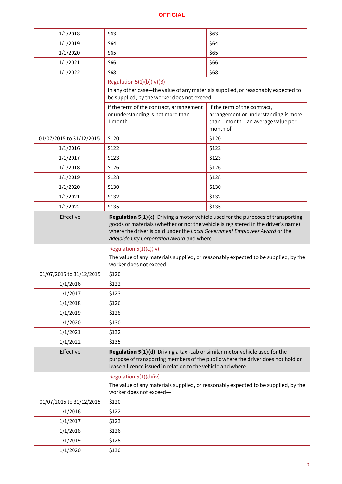| 1/1/2018                 | \$63                                                                                                                                                                                                                                       | \$63                                                                                                                    |
|--------------------------|--------------------------------------------------------------------------------------------------------------------------------------------------------------------------------------------------------------------------------------------|-------------------------------------------------------------------------------------------------------------------------|
| 1/1/2019                 | \$64<br>\$64                                                                                                                                                                                                                               |                                                                                                                         |
| 1/1/2020                 | \$65<br>\$65                                                                                                                                                                                                                               |                                                                                                                         |
| 1/1/2021                 | \$66                                                                                                                                                                                                                                       | \$66                                                                                                                    |
| 1/1/2022                 | \$68                                                                                                                                                                                                                                       | \$68                                                                                                                    |
|                          | Regulation $5(1)(b)(iv)(B)$                                                                                                                                                                                                                |                                                                                                                         |
|                          | In any other case-the value of any materials supplied, or reasonably expected to<br>be supplied, by the worker does not exceed-                                                                                                            |                                                                                                                         |
|                          | If the term of the contract, arrangement<br>or understanding is not more than<br>1 month                                                                                                                                                   | If the term of the contract,<br>arrangement or understanding is more<br>than 1 month - an average value per<br>month of |
| 01/07/2015 to 31/12/2015 | \$120                                                                                                                                                                                                                                      | \$120                                                                                                                   |
| 1/1/2016                 | \$122                                                                                                                                                                                                                                      | \$122                                                                                                                   |
| 1/1/2017                 | \$123                                                                                                                                                                                                                                      | \$123                                                                                                                   |
| 1/1/2018                 | \$126                                                                                                                                                                                                                                      | \$126                                                                                                                   |
| 1/1/2019                 | \$128                                                                                                                                                                                                                                      | \$128                                                                                                                   |
| 1/1/2020                 | \$130                                                                                                                                                                                                                                      | \$130                                                                                                                   |
| 1/1/2021                 | \$132                                                                                                                                                                                                                                      | \$132                                                                                                                   |
| 1/1/2022                 | \$135                                                                                                                                                                                                                                      | \$135                                                                                                                   |
| Effective                | goods or materials (whether or not the vehicle is registered in the driver's name)<br>where the driver is paid under the Local Government Employees Award or the<br>Adelaide City Corporation Award and where-<br>Regulation $5(1)(c)(iv)$ | Regulation 5(1)(c) Driving a motor vehicle used for the purposes of transporting                                        |
|                          | worker does not exceed-                                                                                                                                                                                                                    | The value of any materials supplied, or reasonably expected to be supplied, by the                                      |
| 01/07/2015 to 31/12/2015 | \$120                                                                                                                                                                                                                                      |                                                                                                                         |
| 1/1/2016                 | \$122                                                                                                                                                                                                                                      |                                                                                                                         |
| 1/1/2017                 | \$123                                                                                                                                                                                                                                      |                                                                                                                         |
| 1/1/2018                 | \$126                                                                                                                                                                                                                                      |                                                                                                                         |
| 1/1/2019                 | \$128                                                                                                                                                                                                                                      |                                                                                                                         |
| 1/1/2020                 | \$130                                                                                                                                                                                                                                      |                                                                                                                         |
| 1/1/2021                 | \$132                                                                                                                                                                                                                                      |                                                                                                                         |
| 1/1/2022                 | \$135                                                                                                                                                                                                                                      |                                                                                                                         |
| Effective                | Regulation 5(1)(d) Driving a taxi-cab or similar motor vehicle used for the<br>lease a licence issued in relation to the vehicle and where-                                                                                                | purpose of transporting members of the public where the driver does not hold or                                         |
|                          | Regulation $5(1)(d)(iv)$                                                                                                                                                                                                                   |                                                                                                                         |
|                          | worker does not exceed-                                                                                                                                                                                                                    | The value of any materials supplied, or reasonably expected to be supplied, by the                                      |
| 01/07/2015 to 31/12/2015 | \$120                                                                                                                                                                                                                                      |                                                                                                                         |
| 1/1/2016                 | \$122                                                                                                                                                                                                                                      |                                                                                                                         |
| 1/1/2017                 | \$123                                                                                                                                                                                                                                      |                                                                                                                         |

 $1/1/2018$  \$126 1/1/2019 \$128  $1/1/2020$  \$130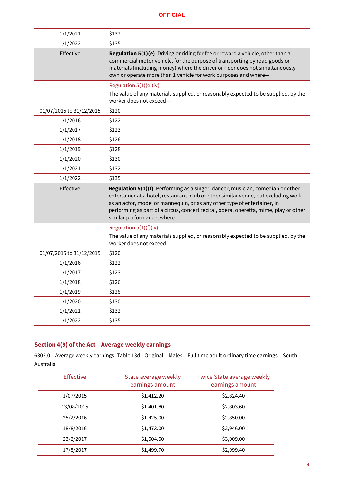| 1/1/2021                 | \$132                                                                                                                                                                                                                                                                                                                                                                     |
|--------------------------|---------------------------------------------------------------------------------------------------------------------------------------------------------------------------------------------------------------------------------------------------------------------------------------------------------------------------------------------------------------------------|
| 1/1/2022                 | \$135                                                                                                                                                                                                                                                                                                                                                                     |
| Effective                | Regulation 5(1)(e) Driving or riding for fee or reward a vehicle, other than a<br>commercial motor vehicle, for the purpose of transporting by road goods or<br>materials (including money) where the driver or rider does not simultaneously<br>own or operate more than 1 vehicle for work purposes and where-                                                          |
|                          | Regulation 5(1)(e)(iv)<br>The value of any materials supplied, or reasonably expected to be supplied, by the<br>worker does not exceed-                                                                                                                                                                                                                                   |
| 01/07/2015 to 31/12/2015 | \$120                                                                                                                                                                                                                                                                                                                                                                     |
| 1/1/2016                 | \$122                                                                                                                                                                                                                                                                                                                                                                     |
| 1/1/2017                 | \$123                                                                                                                                                                                                                                                                                                                                                                     |
| 1/1/2018                 | \$126                                                                                                                                                                                                                                                                                                                                                                     |
| 1/1/2019                 | \$128                                                                                                                                                                                                                                                                                                                                                                     |
| 1/1/2020                 | \$130                                                                                                                                                                                                                                                                                                                                                                     |
| 1/1/2021                 | \$132                                                                                                                                                                                                                                                                                                                                                                     |
|                          |                                                                                                                                                                                                                                                                                                                                                                           |
| 1/1/2022                 | \$135                                                                                                                                                                                                                                                                                                                                                                     |
| Effective                | Regulation 5(1)(f) Performing as a singer, dancer, musician, comedian or other<br>entertainer at a hotel, restaurant, club or other similar venue, but excluding work<br>as an actor, model or mannequin, or as any other type of entertainer, in<br>performing as part of a circus, concert recital, opera, operetta, mime, play or other<br>similar performance, where- |
|                          | Regulation 5(1)(f)(iv)                                                                                                                                                                                                                                                                                                                                                    |
|                          | The value of any materials supplied, or reasonably expected to be supplied, by the<br>worker does not exceed-                                                                                                                                                                                                                                                             |
| 01/07/2015 to 31/12/2015 | \$120                                                                                                                                                                                                                                                                                                                                                                     |
| 1/1/2016                 | \$122                                                                                                                                                                                                                                                                                                                                                                     |
| 1/1/2017                 | \$123                                                                                                                                                                                                                                                                                                                                                                     |
| 1/1/2018                 | \$126                                                                                                                                                                                                                                                                                                                                                                     |
| 1/1/2019                 | \$128                                                                                                                                                                                                                                                                                                                                                                     |
| 1/1/2020                 | \$130                                                                                                                                                                                                                                                                                                                                                                     |
| 1/1/2021                 | \$132                                                                                                                                                                                                                                                                                                                                                                     |

# <span id="page-5-0"></span>**Section 4(9) of the Act – Average weekly earnings**

6302.0 – Average weekly earnings, Table 13d - Original – Males – Full time adult ordinary time earnings – South Australia

| <b>Effective</b> | State average weekly<br>earnings amount | Twice State average weekly<br>earnings amount |
|------------------|-----------------------------------------|-----------------------------------------------|
| 1/07/2015        | \$1,412.20                              | \$2,824.40                                    |
| 13/08/2015       | \$1,401.80                              | \$2,803.60                                    |
| 25/2/2016        | \$1,425.00                              | \$2,850.00                                    |
| 18/8/2016        | \$1,473.00                              | \$2,946.00                                    |
| 23/2/2017        | \$1,504.50                              | \$3,009.00                                    |
| 17/8/2017        | \$1,499.70                              | \$2,999.40                                    |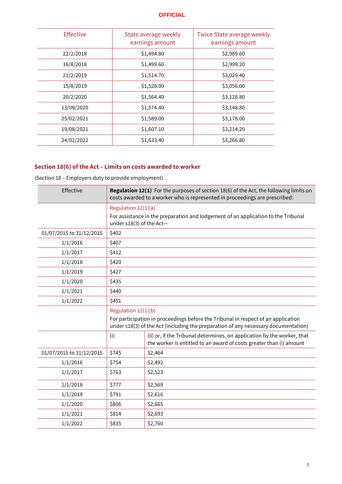| <b>Effective</b> | State average weekly<br>earnings amount | Twice State average weekly<br>earnings amount |
|------------------|-----------------------------------------|-----------------------------------------------|
| 22/2/2018        | \$1,494.80                              | \$2,989.60                                    |
| 16/8/2018        | \$1,499.60                              | \$2,999.20                                    |
| 21/2/2019        | \$1,514.70                              | \$3,029.40                                    |
| 15/8/2019        | \$1,528.00                              | \$3,056.00                                    |
| 20/2/2020        | \$1,564.40                              | \$3,128.80                                    |
| 13/08/2020       | \$1,574.40                              | \$3,148.80                                    |
| 25/02/2021       | \$1,589.00                              | \$3,178.00                                    |
| 19/08/2021       | \$1,607.10                              | \$3,214.20                                    |
| 24/02/2022       | \$1,633.40                              | \$3,266.80                                    |

# <span id="page-6-0"></span>**Section 18(6) of the Act – Limits on costs awarded to worker**

(Section 18 – Employers duty to provide employment)

| Effective                | <b>Regulation 12(1)</b> For the purposes of section 18(6) of the Act, the following limits on<br>costs awarded to a worker who is represented in proceedings are prescribed: |                                                                                                                                                                         |  |
|--------------------------|------------------------------------------------------------------------------------------------------------------------------------------------------------------------------|-------------------------------------------------------------------------------------------------------------------------------------------------------------------------|--|
|                          | Regulation 12(1)(a)                                                                                                                                                          |                                                                                                                                                                         |  |
|                          | under s18(3) of the Act-                                                                                                                                                     | For assistance in the preparation and lodgement of an application to the Tribunal                                                                                       |  |
| 01/07/2015 to 31/12/2015 | \$402                                                                                                                                                                        |                                                                                                                                                                         |  |
| 1/1/2016                 | \$407                                                                                                                                                                        |                                                                                                                                                                         |  |
| 1/1/2017                 | \$412                                                                                                                                                                        |                                                                                                                                                                         |  |
| 1/1/2018                 | \$420                                                                                                                                                                        |                                                                                                                                                                         |  |
| 1/1/2019                 | \$427                                                                                                                                                                        |                                                                                                                                                                         |  |
| 1/1/2020                 | \$435                                                                                                                                                                        |                                                                                                                                                                         |  |
| 1/1/2021                 | \$440                                                                                                                                                                        |                                                                                                                                                                         |  |
| 1/1/2022                 | \$451                                                                                                                                                                        |                                                                                                                                                                         |  |
|                          | Regulation 12(1)(b)                                                                                                                                                          | For participation in proceedings before the Tribunal in respect of an application<br>under s18(3) of the Act (including the preparation of any necessary documentation) |  |
|                          | (i)                                                                                                                                                                          | (ii) or, if the Tribunal determines, on application by the worker, that<br>the worker is entitled to an award of costs greater than (i) amount                          |  |
| 01/07/2015 to 31/12/2015 | \$745                                                                                                                                                                        | \$2,464                                                                                                                                                                 |  |
| 1/1/2016                 | \$754                                                                                                                                                                        | \$2,492                                                                                                                                                                 |  |
| 1/1/2017                 | \$763                                                                                                                                                                        | \$2,523                                                                                                                                                                 |  |
| 1/1/2018                 | \$777                                                                                                                                                                        | \$2,569                                                                                                                                                                 |  |
| 1/1/2019                 | \$791                                                                                                                                                                        | \$2,616                                                                                                                                                                 |  |
| 1/1/2020                 | \$806                                                                                                                                                                        | \$2,665                                                                                                                                                                 |  |
| 1/1/2021                 | \$814                                                                                                                                                                        | \$2,693                                                                                                                                                                 |  |
| 1/1/2022                 | \$835                                                                                                                                                                        | \$2,760                                                                                                                                                                 |  |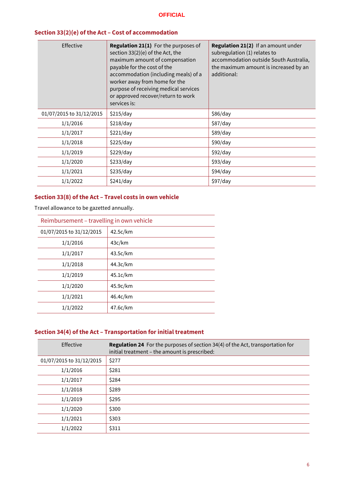# <span id="page-7-0"></span>**Section 33(2)(e) of the Act – Cost of accommodation**

| Effective                | Regulation 21(1) For the purposes of<br>section $33(2)(e)$ of the Act, the<br>maximum amount of compensation<br>payable for the cost of the<br>accommodation (including meals) of a<br>worker away from home for the<br>purpose of receiving medical services<br>or approved recover/return to work<br>services is: | Regulation 21(2) If an amount under<br>subregulation (1) relates to<br>accommodation outside South Australia,<br>the maximum amount is increased by an<br>additional: |
|--------------------------|---------------------------------------------------------------------------------------------------------------------------------------------------------------------------------------------------------------------------------------------------------------------------------------------------------------------|-----------------------------------------------------------------------------------------------------------------------------------------------------------------------|
| 01/07/2015 to 31/12/2015 | \$215/day                                                                                                                                                                                                                                                                                                           | \$86/day                                                                                                                                                              |
| 1/1/2016                 | \$218/day                                                                                                                                                                                                                                                                                                           | \$87/day                                                                                                                                                              |
| 1/1/2017                 | \$221/day                                                                                                                                                                                                                                                                                                           | \$89/day                                                                                                                                                              |
| 1/1/2018                 | \$225/day                                                                                                                                                                                                                                                                                                           | \$90/day                                                                                                                                                              |
| 1/1/2019                 | \$229/day                                                                                                                                                                                                                                                                                                           | \$92/day                                                                                                                                                              |
| 1/1/2020                 | \$233/day                                                                                                                                                                                                                                                                                                           | \$93/day                                                                                                                                                              |
| 1/1/2021                 | \$235/day                                                                                                                                                                                                                                                                                                           | \$94/day                                                                                                                                                              |
| 1/1/2022                 | \$241/day                                                                                                                                                                                                                                                                                                           | \$97/day                                                                                                                                                              |

# <span id="page-7-1"></span>**Section 33(8) of the Act – Travel costs in own vehicle**

Travel allowance to be gazetted annually.

| Reimbursement – travelling in own vehicle |          |  |  |
|-------------------------------------------|----------|--|--|
| 01/07/2015 to 31/12/2015                  | 42.5c/km |  |  |
| 1/1/2016                                  | 43c/km   |  |  |
| 1/1/2017                                  | 43.5c/km |  |  |
| 1/1/2018                                  | 44.3c/km |  |  |
| 1/1/2019                                  | 45.1c/km |  |  |
| 1/1/2020                                  | 45.9c/km |  |  |
| 1/1/2021                                  | 46.4c/km |  |  |
| 1/1/2022                                  | 47.6c/km |  |  |

# <span id="page-7-2"></span>**Section 34(4) of the Act – Transportation for initial treatment**

| Effective                | <b>Regulation 24</b> For the purposes of section 34(4) of the Act, transportation for<br>initial treatment - the amount is prescribed: |
|--------------------------|----------------------------------------------------------------------------------------------------------------------------------------|
| 01/07/2015 to 31/12/2015 | \$277                                                                                                                                  |
| 1/1/2016                 | \$281                                                                                                                                  |
| 1/1/2017                 | \$284                                                                                                                                  |
| 1/1/2018                 | \$289                                                                                                                                  |
| 1/1/2019                 | \$295                                                                                                                                  |
| 1/1/2020                 | \$300                                                                                                                                  |
| 1/1/2021                 | \$303                                                                                                                                  |
| 1/1/2022                 | \$311                                                                                                                                  |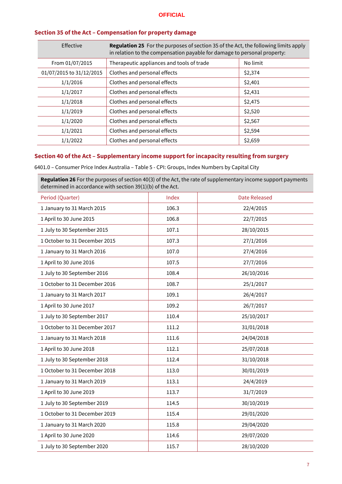| section 33 of the fite. Compensation for property adminge |                                                                                                                                                                        |          |
|-----------------------------------------------------------|------------------------------------------------------------------------------------------------------------------------------------------------------------------------|----------|
| Effective                                                 | <b>Regulation 25</b> For the purposes of section 35 of the Act, the following limits apply<br>in relation to the compensation payable for damage to personal property: |          |
| From 01/07/2015                                           | Therapeutic appliances and tools of trade                                                                                                                              | No limit |
| 01/07/2015 to 31/12/2015                                  | Clothes and personal effects                                                                                                                                           | \$2,374  |
| 1/1/2016                                                  | Clothes and personal effects                                                                                                                                           | \$2,401  |
| 1/1/2017                                                  | Clothes and personal effects                                                                                                                                           | \$2,431  |
| 1/1/2018                                                  | Clothes and personal effects                                                                                                                                           | \$2,475  |
| 1/1/2019                                                  | Clothes and personal effects                                                                                                                                           | \$2,520  |
| 1/1/2020                                                  | Clothes and personal effects                                                                                                                                           | \$2,567  |
| 1/1/2021                                                  | Clothes and personal effects                                                                                                                                           | \$2,594  |
| 1/1/2022                                                  | Clothes and personal effects                                                                                                                                           | \$2,659  |

#### <span id="page-8-0"></span>**Section 35 of the Act – Compensation for property damage**

#### <span id="page-8-1"></span>**Section 40 of the Act – Supplementary income support for incapacity resulting from surgery**

6401.0 – Consumer Price Index Australia – Table 5 - CPI: Groups, Index Numbers by Capital City

**Regulation 26** For the purposes of section 40(3) of the Act, the rate of supplementary income support payments determined in accordance with section 39(1)(b) of the Act.

| Period (Quarter)              | Index | <b>Date Released</b> |
|-------------------------------|-------|----------------------|
| 1 January to 31 March 2015    | 106.3 | 22/4/2015            |
| 1 April to 30 June 2015       | 106.8 | 22/7/2015            |
| 1 July to 30 September 2015   | 107.1 | 28/10/2015           |
| 1 October to 31 December 2015 | 107.3 | 27/1/2016            |
| 1 January to 31 March 2016    | 107.0 | 27/4/2016            |
| 1 April to 30 June 2016       | 107.5 | 27/7/2016            |
| 1 July to 30 September 2016   | 108.4 | 26/10/2016           |
| 1 October to 31 December 2016 | 108.7 | 25/1/2017            |
| 1 January to 31 March 2017    | 109.1 | 26/4/2017            |
| 1 April to 30 June 2017       | 109.2 | 26/7/2017            |
| 1 July to 30 September 2017   | 110.4 | 25/10/2017           |
| 1 October to 31 December 2017 | 111.2 | 31/01/2018           |
| 1 January to 31 March 2018    | 111.6 | 24/04/2018           |
| 1 April to 30 June 2018       | 112.1 | 25/07/2018           |
| 1 July to 30 September 2018   | 112.4 | 31/10/2018           |
| 1 October to 31 December 2018 | 113.0 | 30/01/2019           |
| 1 January to 31 March 2019    | 113.1 | 24/4/2019            |
| 1 April to 30 June 2019       | 113.7 | 31/7/2019            |
| 1 July to 30 September 2019   | 114.5 | 30/10/2019           |
| 1 October to 31 December 2019 | 115.4 | 29/01/2020           |
| 1 January to 31 March 2020    | 115.8 | 29/04/2020           |
| 1 April to 30 June 2020       | 114.6 | 29/07/2020           |
| 1 July to 30 September 2020   | 115.7 | 28/10/2020           |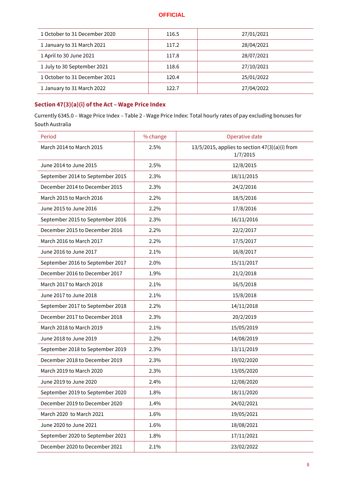| 1 October to 31 December 2020 | 116.5 | 27/01/2021 |
|-------------------------------|-------|------------|
| 1 January to 31 March 2021    | 117.2 | 28/04/2021 |
| 1 April to 30 June 2021       | 117.8 | 28/07/2021 |
| 1 July to 30 September 2021   | 118.6 | 27/10/2021 |
| 1 October to 31 December 2021 | 120.4 | 25/01/2022 |
| 1 January to 31 March 2022    | 122.7 | 27/04/2022 |

# <span id="page-9-0"></span>**Section 47(3)(a)(i) of the Act – Wage Price Index**

Currently 6345.0 – Wage Price Index – Table 2 - Wage Price Index: Total hourly rates of pay excluding bonuses for South Australia

| Period                           | % change | Operative date                                                  |
|----------------------------------|----------|-----------------------------------------------------------------|
| March 2014 to March 2015         | 2.5%     | $13/5/2015$ , applies to section $47(3)(a)(i)$ from<br>1/7/2015 |
| June 2014 to June 2015           | 2.5%     | 12/8/2015                                                       |
| September 2014 to September 2015 | 2.3%     | 18/11/2015                                                      |
| December 2014 to December 2015   | 2.3%     | 24/2/2016                                                       |
| March 2015 to March 2016         | 2.2%     | 18/5/2016                                                       |
| June 2015 to June 2016           | 2.2%     | 17/8/2016                                                       |
| September 2015 to September 2016 | 2.3%     | 16/11/2016                                                      |
| December 2015 to December 2016   | 2.2%     | 22/2/2017                                                       |
| March 2016 to March 2017         | 2.2%     | 17/5/2017                                                       |
| June 2016 to June 2017           | 2.1%     | 16/8/2017                                                       |
| September 2016 to September 2017 | 2.0%     | 15/11/2017                                                      |
| December 2016 to December 2017   | 1.9%     | 21/2/2018                                                       |
| March 2017 to March 2018         | 2.1%     | 16/5/2018                                                       |
| June 2017 to June 2018           | 2.1%     | 15/8/2018                                                       |
| September 2017 to September 2018 | 2.2%     | 14/11/2018                                                      |
| December 2017 to December 2018   | 2.3%     | 20/2/2019                                                       |
| March 2018 to March 2019         | 2.1%     | 15/05/2019                                                      |
| June 2018 to June 2019           | 2.2%     | 14/08/2019                                                      |
| September 2018 to September 2019 | 2.3%     | 13/11/2019                                                      |
| December 2018 to December 2019   | 2.3%     | 19/02/2020                                                      |
| March 2019 to March 2020         | 2.3%     | 13/05/2020                                                      |
| June 2019 to June 2020           | 2.4%     | 12/08/2020                                                      |
| September 2019 to September 2020 | 1.8%     | 18/11/2020                                                      |
| December 2019 to December 2020   | 1.4%     | 24/02/2021                                                      |
| March 2020 to March 2021         | 1.6%     | 19/05/2021                                                      |
| June 2020 to June 2021           | 1.6%     | 18/08/2021                                                      |
| September 2020 to September 2021 | 1.8%     | 17/11/2021                                                      |
| December 2020 to December 2021   | 2.1%     | 23/02/2022                                                      |
|                                  |          |                                                                 |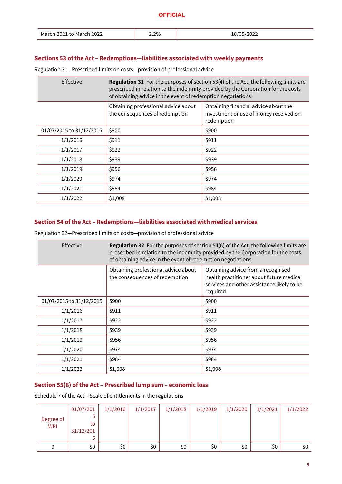| 18/05/2022<br>March 2021 to March 2022<br>2.2% |  |
|------------------------------------------------|--|
|------------------------------------------------|--|

#### <span id="page-10-0"></span>**Sections 53 of the Act – Redemptions―liabilities associated with weekly payments**

Regulation 31―Prescribed limits on costs―provision of professional advice

| Effective                | <b>Regulation 31</b> For the purposes of section 53(4) of the Act, the following limits are<br>prescribed in relation to the indemnity provided by the Corporation for the costs<br>of obtaining advice in the event of redemption negotiations: |                                                                                              |  |  |  |  |  |
|--------------------------|--------------------------------------------------------------------------------------------------------------------------------------------------------------------------------------------------------------------------------------------------|----------------------------------------------------------------------------------------------|--|--|--|--|--|
|                          | Obtaining professional advice about<br>the consequences of redemption                                                                                                                                                                            | Obtaining financial advice about the<br>investment or use of money received on<br>redemption |  |  |  |  |  |
| 01/07/2015 to 31/12/2015 | \$900                                                                                                                                                                                                                                            | \$900                                                                                        |  |  |  |  |  |
| 1/1/2016                 | \$911                                                                                                                                                                                                                                            | \$911                                                                                        |  |  |  |  |  |
| 1/1/2017                 | \$922                                                                                                                                                                                                                                            | \$922                                                                                        |  |  |  |  |  |
| 1/1/2018                 | \$939                                                                                                                                                                                                                                            | \$939                                                                                        |  |  |  |  |  |
| 1/1/2019                 | \$956                                                                                                                                                                                                                                            | \$956                                                                                        |  |  |  |  |  |
| 1/1/2020                 | \$974                                                                                                                                                                                                                                            | \$974                                                                                        |  |  |  |  |  |
| 1/1/2021                 | \$984                                                                                                                                                                                                                                            | \$984                                                                                        |  |  |  |  |  |
| 1/1/2022                 | \$1,008                                                                                                                                                                                                                                          | \$1,008                                                                                      |  |  |  |  |  |

#### <span id="page-10-1"></span>**Section 54 of the Act – Redemptions―liabilities associated with medical services**

Regulation 32―Prescribed limits on costs―provision of professional advice

| <b>Effective</b>         | <b>Regulation 32</b> For the purposes of section 54(6) of the Act, the following limits are<br>prescribed in relation to the indemnity provided by the Corporation for the costs<br>of obtaining advice in the event of redemption negotiations: |                                                                                                                                          |  |  |  |  |  |  |
|--------------------------|--------------------------------------------------------------------------------------------------------------------------------------------------------------------------------------------------------------------------------------------------|------------------------------------------------------------------------------------------------------------------------------------------|--|--|--|--|--|--|
|                          | Obtaining professional advice about<br>the consequences of redemption                                                                                                                                                                            | Obtaining advice from a recognised<br>health practitioner about future medical<br>services and other assistance likely to be<br>required |  |  |  |  |  |  |
| 01/07/2015 to 31/12/2015 | \$900                                                                                                                                                                                                                                            | \$900                                                                                                                                    |  |  |  |  |  |  |
| 1/1/2016                 | \$911                                                                                                                                                                                                                                            | \$911                                                                                                                                    |  |  |  |  |  |  |
| 1/1/2017                 | \$922                                                                                                                                                                                                                                            | \$922                                                                                                                                    |  |  |  |  |  |  |
| 1/1/2018                 | \$939                                                                                                                                                                                                                                            | \$939                                                                                                                                    |  |  |  |  |  |  |
| 1/1/2019                 | \$956                                                                                                                                                                                                                                            | \$956                                                                                                                                    |  |  |  |  |  |  |
| 1/1/2020                 | \$974                                                                                                                                                                                                                                            | \$974                                                                                                                                    |  |  |  |  |  |  |
| 1/1/2021                 | \$984                                                                                                                                                                                                                                            | \$984                                                                                                                                    |  |  |  |  |  |  |
| 1/1/2022                 | \$1,008                                                                                                                                                                                                                                          | \$1,008                                                                                                                                  |  |  |  |  |  |  |

#### <span id="page-10-2"></span>**Section 55(8) of the Act – Prescribed lump sum – economic loss**

Schedule 7 of the Act – Scale of entitlements in the regulations

| Degree of<br><b>WPI</b> | 01/07/201<br>to<br>31/12/201 | 1/1/2016 | 1/1/2017 | 1/1/2018 | 1/1/2019 | 1/1/2020 | 1/1/2021 | 1/1/2022 |
|-------------------------|------------------------------|----------|----------|----------|----------|----------|----------|----------|
| 0                       | \$0                          | \$0      | \$0      | \$0      | \$0      | \$0      | \$0      | \$0      |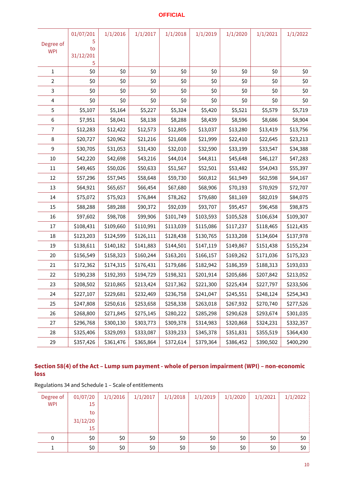| Degree of<br><b>WPI</b> | 01/07/201<br>5<br>to<br>31/12/201<br>5 | 1/1/2016  | 1/1/2017  | 1/1/2018  | 1/1/2019  | 1/1/2020  | 1/1/2021  | 1/1/2022  |
|-------------------------|----------------------------------------|-----------|-----------|-----------|-----------|-----------|-----------|-----------|
| 1                       | \$0                                    | \$0       | \$0       | \$0       | \$0       | \$0       | \$0       | \$0       |
| 2                       | \$0                                    | \$0       | \$0       | \$0       | \$0       | \$0       | \$0       | \$0       |
| 3                       | \$0                                    | \$0       | \$0       | \$0       | \$0       | \$0       | \$0       | \$0       |
| 4                       | \$0                                    | \$0       | \$0       | \$0       | \$0       | \$0       | \$0       | \$0       |
| 5                       | \$5,107                                | \$5,164   | \$5,227   | \$5,324   | \$5,420   | \$5,521   | \$5,579   | \$5,719   |
| 6                       | \$7,951                                | \$8,041   | \$8,138   | \$8,288   | \$8,439   | \$8,596   | \$8,686   | \$8,904   |
| 7                       | \$12,283                               | \$12,422  | \$12,573  | \$12,805  | \$13,037  | \$13,280  | \$13,419  | \$13,756  |
| 8                       | \$20,727                               | \$20,962  | \$21,216  | \$21,608  | \$21,999  | \$22,410  | \$22,645  | \$23,213  |
| 9                       | \$30,705                               | \$31,053  | \$31,430  | \$32,010  | \$32,590  | \$33,199  | \$33,547  | \$34,388  |
| 10                      | \$42,220                               | \$42,698  | \$43,216  | \$44,014  | \$44,811  | \$45,648  | \$46,127  | \$47,283  |
| 11                      | \$49,465                               | \$50,026  | \$50,633  | \$51,567  | \$52,501  | \$53,482  | \$54,043  | \$55,397  |
| 12                      | \$57,296                               | \$57,945  | \$58,648  | \$59,730  | \$60,812  | \$61,949  | \$62,598  | \$64,167  |
| 13                      | \$64,921                               | \$65,657  | \$66,454  | \$67,680  | \$68,906  | \$70,193  | \$70,929  | \$72,707  |
| 14                      | \$75,072                               | \$75,923  | \$76,844  | \$78,262  | \$79,680  | \$81,169  | \$82,019  | \$84,075  |
| 15                      | \$88,288                               | \$89,288  | \$90,372  | \$92,039  | \$93,707  | \$95,457  | \$96,458  | \$98,875  |
| 16                      | \$97,602                               | \$98,708  | \$99,906  | \$101,749 | \$103,593 | \$105,528 | \$106,634 | \$109,307 |
| 17                      | \$108,431                              | \$109,660 | \$110,991 | \$113,039 | \$115,086 | \$117,237 | \$118,465 | \$121,435 |
| 18                      | \$123,203                              | \$124,599 | \$126,111 | \$128,438 | \$130,765 | \$133,208 | \$134,604 | \$137,978 |
| 19                      | \$138,611                              | \$140,182 | \$141,883 | \$144,501 | \$147,119 | \$149,867 | \$151,438 | \$155,234 |
| 20                      | \$156,549                              | \$158,323 | \$160,244 | \$163,201 | \$166,157 | \$169,262 | \$171,036 | \$175,323 |
| 21                      | \$172,362                              | \$174,315 | \$176,431 | \$179,686 | \$182,942 | \$186,359 | \$188,313 | \$193,033 |
| 22                      | \$190,238                              | \$192,393 | \$194,729 | \$198,321 | \$201,914 | \$205,686 | \$207,842 | \$213,052 |
| 23                      | \$208,502                              | \$210,865 | \$213,424 | \$217,362 | \$221,300 | \$225,434 | \$227,797 | \$233,506 |
| 24                      | \$227,107                              | \$229,681 | \$232,469 | \$236,758 | \$241,047 | \$245,551 | \$248,124 | \$254,343 |
| 25                      | \$247,808                              | \$250,616 | \$253,658 | \$258,338 | \$263,018 | \$267,932 | \$270,740 | \$277,526 |
| 26                      | \$268,800                              | \$271,845 | \$275,145 | \$280,222 | \$285,298 | \$290,628 | \$293,674 | \$301,035 |
| 27                      | \$296,768                              | \$300,130 | \$303,773 | \$309,378 | \$314,983 | \$320,868 | \$324,231 | \$332,357 |
| 28                      | \$325,406                              | \$329,093 | \$333,087 | \$339,233 | \$345,378 | \$351,831 | \$355,519 | \$364,430 |
| 29                      | \$357,426                              | \$361,476 | \$365,864 | \$372,614 | \$379,364 | \$386,452 | \$390,502 | \$400,290 |

# <span id="page-11-0"></span>**Section 58(4) of the Act – Lump sum payment - whole of person impairment (WPI) – non-economic loss**

| Degree of<br><b>WPI</b> | 01/07/20<br>15 | 1/1/2016 | 1/1/2017 | 1/1/2018 | 1/1/2019 | 1/1/2020 | 1/1/2021 | 1/1/2022 |
|-------------------------|----------------|----------|----------|----------|----------|----------|----------|----------|
|                         | to             |          |          |          |          |          |          |          |
|                         | 31/12/20       |          |          |          |          |          |          |          |
|                         | 15             |          |          |          |          |          |          |          |
| 0                       | \$0            | \$0      | \$0      | \$0      | \$0      | \$0      | \$0      | \$0      |
|                         | \$0            | \$0\$    | \$0      | \$0      | \$0      | \$0      | \$0      | \$0      |

Regulations 34 and Schedule 1 – Scale of entitlements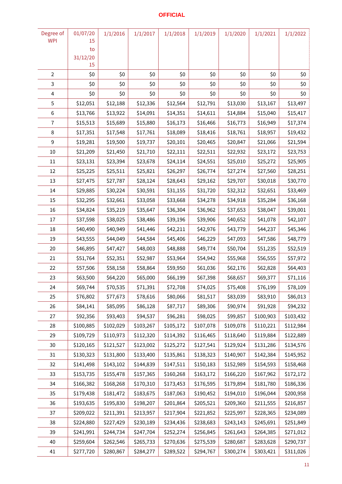| Degree of               | 01/07/20       | 1/1/2016  | 1/1/2017  | 1/1/2018  | 1/1/2019  | 1/1/2020  | 1/1/2021  | 1/1/2022  |
|-------------------------|----------------|-----------|-----------|-----------|-----------|-----------|-----------|-----------|
| <b>WPI</b>              | 15             |           |           |           |           |           |           |           |
|                         | to<br>31/12/20 |           |           |           |           |           |           |           |
|                         | 15             |           |           |           |           |           |           |           |
| $\overline{2}$          | \$0            | \$0       | \$0       | \$0       | \$0       | \$0       | \$0       | \$0       |
| 3                       | \$0            | \$0       | \$0       | \$0       | \$0       | \$0       | \$0       | \$0       |
| $\overline{\mathbf{4}}$ | \$0            | \$0       | \$0       | \$0       | \$0       | \$0       | \$0       | \$0       |
| 5                       | \$12,051       | \$12,188  | \$12,336  | \$12,564  | \$12,791  | \$13,030  | \$13,167  | \$13,497  |
| 6                       | \$13,766       | \$13,922  | \$14,091  | \$14,351  | \$14,611  | \$14,884  | \$15,040  | \$15,417  |
| 7                       | \$15,513       | \$15,689  | \$15,880  | \$16,173  | \$16,466  | \$16,773  | \$16,949  | \$17,374  |
| 8                       | \$17,351       | \$17,548  | \$17,761  | \$18,089  | \$18,416  | \$18,761  | \$18,957  | \$19,432  |
| 9                       | \$19,281       | \$19,500  | \$19,737  | \$20,101  | \$20,465  | \$20,847  | \$21,066  | \$21,594  |
| 10                      | \$21,209       | \$21,450  | \$21,710  | \$22,111  | \$22,511  | \$22,932  | \$23,172  | \$23,753  |
| 11                      | \$23,131       | \$23,394  | \$23,678  | \$24,114  | \$24,551  | \$25,010  | \$25,272  | \$25,905  |
| 12                      | \$25,225       | \$25,511  | \$25,821  | \$26,297  | \$26,774  | \$27,274  | \$27,560  | \$28,251  |
| 13                      | \$27,475       | \$27,787  | \$28,124  | \$28,643  | \$29,162  | \$29,707  | \$30,018  | \$30,770  |
| 14                      | \$29,885       | \$30,224  | \$30,591  | \$31,155  | \$31,720  | \$32,312  | \$32,651  | \$33,469  |
| 15                      | \$32,295       | \$32,661  | \$33,058  | \$33,668  | \$34,278  | \$34,918  | \$35,284  | \$36,168  |
| 16                      | \$34,824       | \$35,219  | \$35,647  | \$36,304  | \$36,962  | \$37,653  | \$38,047  | \$39,001  |
| 17                      | \$37,598       | \$38,025  | \$38,486  | \$39,196  | \$39,906  | \$40,652  | \$41,078  | \$42,107  |
| 18                      | \$40,490       | \$40,949  | \$41,446  | \$42,211  | \$42,976  | \$43,779  | \$44,237  | \$45,346  |
| 19                      | \$43,555       | \$44,049  | \$44,584  | \$45,406  | \$46,229  | \$47,093  | \$47,586  | \$48,779  |
| 20                      | \$46,895       | \$47,427  | \$48,003  | \$48,888  | \$49,774  | \$50,704  | \$51,235  | \$52,519  |
| 21                      | \$51,764       | \$52,351  | \$52,987  | \$53,964  | \$54,942  | \$55,968  | \$56,555  | \$57,972  |
| 22                      | \$57,506       | \$58,158  | \$58,864  | \$59,950  | \$61,036  | \$62,176  | \$62,828  | \$64,403  |
| 23                      | \$63,500       | \$64,220  | \$65,000  | \$66,199  | \$67,398  | \$68,657  | \$69,377  | \$71,116  |
| 24                      | \$69,744       | \$70,535  | \$71,391  | \$72,708  | \$74,025  | \$75,408  | \$76,199  | \$78,109  |
| 25                      | \$76,802       | \$77,673  | \$78,616  | \$80,066  | \$81,517  | \$83,039  | \$83,910  | \$86,013  |
| 26                      | \$84,141       | \$85,095  | \$86,128  | \$87,717  | \$89,306  | \$90,974  | \$91,928  | \$94,232  |
| 27                      | \$92,356       | \$93,403  | \$94,537  | \$96,281  | \$98,025  | \$99,857  | \$100,903 | \$103,432 |
| 28                      | \$100,885      | \$102,029 | \$103,267 | \$105,172 | \$107,078 | \$109,078 | \$110,221 | \$112,984 |
| 29                      | \$109,729      | \$110,973 | \$112,320 | \$114,392 | \$116,465 | \$118,640 | \$119,884 | \$122,889 |
| 30                      | \$120,165      | \$121,527 | \$123,002 | \$125,272 | \$127,541 | \$129,924 | \$131,286 | \$134,576 |
| 31                      | \$130,323      | \$131,800 | \$133,400 | \$135,861 | \$138,323 | \$140,907 | \$142,384 | \$145,952 |
| 32                      | \$141,498      | \$143,102 | \$144,839 | \$147,511 | \$150,183 | \$152,989 | \$154,593 | \$158,468 |
| 33                      | \$153,735      | \$155,478 | \$157,365 | \$160,268 | \$163,172 | \$166,220 | \$167,962 | \$172,172 |
| 34                      | \$166,382      | \$168,268 | \$170,310 | \$173,453 | \$176,595 | \$179,894 | \$181,780 | \$186,336 |
| 35                      | \$179,438      | \$181,472 | \$183,675 | \$187,063 | \$190,452 | \$194,010 | \$196,044 | \$200,958 |
| 36                      | \$193,635      | \$195,830 | \$198,207 | \$201,864 | \$205,521 | \$209,360 | \$211,555 | \$216,857 |
| 37                      | \$209,022      | \$211,391 | \$213,957 | \$217,904 | \$221,852 | \$225,997 | \$228,365 | \$234,089 |
| 38                      | \$224,880      | \$227,429 | \$230,189 | \$234,436 | \$238,683 | \$243,143 | \$245,691 | \$251,849 |
| 39                      | \$241,991      | \$244,734 | \$247,704 | \$252,274 | \$256,845 | \$261,643 | \$264,385 | \$271,012 |
| 40                      | \$259,604      | \$262,546 | \$265,733 | \$270,636 | \$275,539 | \$280,687 | \$283,628 | \$290,737 |
| 41                      | \$277,720      | \$280,867 | \$284,277 | \$289,522 | \$294,767 | \$300,274 | \$303,421 | \$311,026 |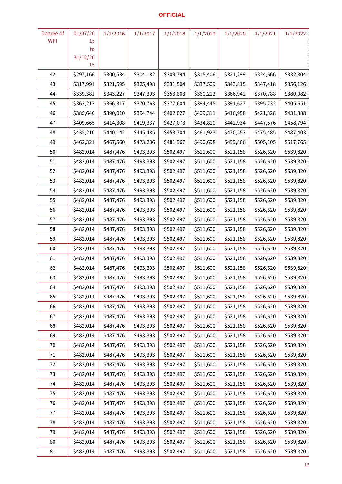| Degree of  | 01/07/20       | 1/1/2016  | 1/1/2017  | 1/1/2018  | 1/1/2019  | 1/1/2020  | 1/1/2021  | 1/1/2022  |
|------------|----------------|-----------|-----------|-----------|-----------|-----------|-----------|-----------|
| <b>WPI</b> | 15             |           |           |           |           |           |           |           |
|            | to<br>31/12/20 |           |           |           |           |           |           |           |
|            | 15             |           |           |           |           |           |           |           |
| 42         | \$297,166      | \$300,534 | \$304,182 | \$309,794 | \$315,406 | \$321,299 | \$324,666 | \$332,804 |
| 43         | \$317,991      | \$321,595 | \$325,498 | \$331,504 | \$337,509 | \$343,815 | \$347,418 | \$356,126 |
| 44         | \$339,381      | \$343,227 | \$347,393 | \$353,803 | \$360,212 | \$366,942 | \$370,788 | \$380,082 |
| 45         | \$362,212      | \$366,317 | \$370,763 | \$377,604 | \$384,445 | \$391,627 | \$395,732 | \$405,651 |
| 46         | \$385,640      | \$390,010 | \$394,744 | \$402,027 | \$409,311 | \$416,958 | \$421,328 | \$431,888 |
| 47         | \$409,665      | \$414,308 | \$419,337 | \$427,073 | \$434,810 | \$442,934 | \$447,576 | \$458,794 |
| 48         | \$435,210      | \$440,142 | \$445,485 | \$453,704 | \$461,923 | \$470,553 | \$475,485 | \$487,403 |
| 49         | \$462,321      | \$467,560 | \$473,236 | \$481,967 | \$490,698 | \$499,866 | \$505,105 | \$517,765 |
| 50         | \$482,014      | \$487,476 | \$493,393 | \$502,497 | \$511,600 | \$521,158 | \$526,620 | \$539,820 |
| 51         | \$482,014      | \$487,476 | \$493,393 | \$502,497 | \$511,600 | \$521,158 | \$526,620 | \$539,820 |
| 52         | \$482,014      | \$487,476 | \$493,393 | \$502,497 | \$511,600 | \$521,158 | \$526,620 | \$539,820 |
| 53         | \$482,014      | \$487,476 | \$493,393 | \$502,497 | \$511,600 | \$521,158 | \$526,620 | \$539,820 |
| 54         | \$482,014      | \$487,476 | \$493,393 | \$502,497 | \$511,600 | \$521,158 | \$526,620 | \$539,820 |
| 55         | \$482,014      | \$487,476 | \$493,393 | \$502,497 | \$511,600 | \$521,158 | \$526,620 | \$539,820 |
| 56         | \$482,014      | \$487,476 | \$493,393 | \$502,497 | \$511,600 | \$521,158 | \$526,620 | \$539,820 |
| 57         | \$482,014      | \$487,476 | \$493,393 | \$502,497 | \$511,600 | \$521,158 | \$526,620 | \$539,820 |
| 58         | \$482,014      | \$487,476 | \$493,393 | \$502,497 | \$511,600 | \$521,158 | \$526,620 | \$539,820 |
| 59         | \$482,014      | \$487,476 | \$493,393 | \$502,497 | \$511,600 | \$521,158 | \$526,620 | \$539,820 |
| 60         | \$482,014      | \$487,476 | \$493,393 | \$502,497 | \$511,600 | \$521,158 | \$526,620 | \$539,820 |
| 61         | \$482,014      | \$487,476 | \$493,393 | \$502,497 | \$511,600 | \$521,158 | \$526,620 | \$539,820 |
| 62         | \$482,014      | \$487,476 | \$493,393 | \$502,497 | \$511,600 | \$521,158 | \$526,620 | \$539,820 |
| 63         | \$482,014      | \$487,476 | \$493,393 | \$502,497 | \$511,600 | \$521,158 | \$526,620 | \$539,820 |
| 64         | \$482,014      | \$487,476 | \$493,393 | \$502,497 | \$511,600 | \$521,158 | \$526,620 | \$539,820 |
| 65         | \$482,014      | \$487,476 | \$493,393 | \$502,497 | \$511,600 | \$521,158 | \$526,620 | \$539,820 |
| 66         | \$482,014      | \$487,476 | \$493,393 | \$502,497 | \$511,600 | \$521,158 | \$526,620 | \$539,820 |
| 67         | \$482,014      | \$487,476 | \$493,393 | \$502,497 | \$511,600 | \$521,158 | \$526,620 | \$539,820 |
| 68         | \$482,014      | \$487,476 | \$493,393 | \$502,497 | \$511,600 | \$521,158 | \$526,620 | \$539,820 |
| 69         | \$482,014      | \$487,476 | \$493,393 | \$502,497 | \$511,600 | \$521,158 | \$526,620 | \$539,820 |
| 70         | \$482,014      | \$487,476 | \$493,393 | \$502,497 | \$511,600 | \$521,158 | \$526,620 | \$539,820 |
| 71         | \$482,014      | \$487,476 | \$493,393 | \$502,497 | \$511,600 | \$521,158 | \$526,620 | \$539,820 |
| 72         | \$482,014      | \$487,476 | \$493,393 | \$502,497 | \$511,600 | \$521,158 | \$526,620 | \$539,820 |
| 73         | \$482,014      | \$487,476 | \$493,393 | \$502,497 | \$511,600 | \$521,158 | \$526,620 | \$539,820 |
| 74         | \$482,014      | \$487,476 | \$493,393 | \$502,497 | \$511,600 | \$521,158 | \$526,620 | \$539,820 |
| 75         | \$482,014      | \$487,476 | \$493,393 | \$502,497 | \$511,600 | \$521,158 | \$526,620 | \$539,820 |
| 76         | \$482,014      | \$487,476 | \$493,393 | \$502,497 | \$511,600 | \$521,158 | \$526,620 | \$539,820 |
| 77         | \$482,014      | \$487,476 | \$493,393 | \$502,497 | \$511,600 | \$521,158 | \$526,620 | \$539,820 |
| 78         | \$482,014      | \$487,476 | \$493,393 | \$502,497 | \$511,600 | \$521,158 | \$526,620 | \$539,820 |
| 79         | \$482,014      | \$487,476 | \$493,393 | \$502,497 | \$511,600 | \$521,158 | \$526,620 | \$539,820 |
| 80         | \$482,014      | \$487,476 | \$493,393 | \$502,497 | \$511,600 | \$521,158 | \$526,620 | \$539,820 |
| 81         | \$482,014      | \$487,476 | \$493,393 | \$502,497 | \$511,600 | \$521,158 | \$526,620 | \$539,820 |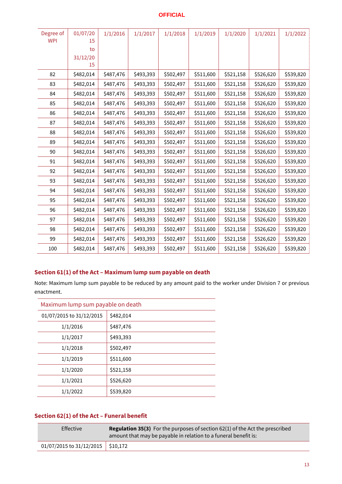| Degree of<br><b>WPI</b> | 01/07/20<br>15<br>to | 1/1/2016  | 1/1/2017  | 1/1/2018  | 1/1/2019  | 1/1/2020  | 1/1/2021  | 1/1/2022  |
|-------------------------|----------------------|-----------|-----------|-----------|-----------|-----------|-----------|-----------|
|                         | 31/12/20<br>15       |           |           |           |           |           |           |           |
| 82                      | \$482,014            | \$487,476 | \$493,393 | \$502,497 | \$511,600 | \$521,158 | \$526,620 | \$539,820 |
| 83                      | \$482,014            | \$487,476 | \$493,393 | \$502,497 | \$511,600 | \$521,158 | \$526,620 | \$539,820 |
| 84                      | \$482,014            | \$487,476 | \$493,393 | \$502,497 | \$511,600 | \$521,158 | \$526,620 | \$539,820 |
| 85                      | \$482,014            | \$487,476 | \$493,393 | \$502,497 | \$511,600 | \$521,158 | \$526,620 | \$539,820 |
| 86                      | \$482,014            | \$487,476 | \$493,393 | \$502,497 | \$511,600 | \$521,158 | \$526,620 | \$539,820 |
| 87                      | \$482,014            | \$487,476 | \$493,393 | \$502,497 | \$511,600 | \$521,158 | \$526,620 | \$539,820 |
| 88                      | \$482,014            | \$487,476 | \$493,393 | \$502,497 | \$511,600 | \$521,158 | \$526,620 | \$539,820 |
| 89                      | \$482,014            | \$487,476 | \$493,393 | \$502,497 | \$511,600 | \$521,158 | \$526,620 | \$539,820 |
| 90                      | \$482,014            | \$487,476 | \$493,393 | \$502,497 | \$511,600 | \$521,158 | \$526,620 | \$539,820 |
| 91                      | \$482,014            | \$487,476 | \$493,393 | \$502,497 | \$511,600 | \$521,158 | \$526,620 | \$539,820 |
| 92                      | \$482,014            | \$487,476 | \$493,393 | \$502,497 | \$511,600 | \$521,158 | \$526,620 | \$539,820 |
| 93                      | \$482,014            | \$487,476 | \$493,393 | \$502,497 | \$511,600 | \$521,158 | \$526,620 | \$539,820 |
| 94                      | \$482,014            | \$487,476 | \$493,393 | \$502,497 | \$511,600 | \$521,158 | \$526,620 | \$539,820 |
| 95                      | \$482,014            | \$487,476 | \$493,393 | \$502,497 | \$511,600 | \$521,158 | \$526,620 | \$539,820 |
| 96                      | \$482,014            | \$487,476 | \$493,393 | \$502,497 | \$511,600 | \$521,158 | \$526,620 | \$539,820 |
| 97                      | \$482,014            | \$487,476 | \$493,393 | \$502,497 | \$511,600 | \$521,158 | \$526,620 | \$539,820 |
| 98                      | \$482,014            | \$487,476 | \$493,393 | \$502,497 | \$511,600 | \$521,158 | \$526,620 | \$539,820 |
| 99                      | \$482,014            | \$487,476 | \$493,393 | \$502,497 | \$511,600 | \$521,158 | \$526,620 | \$539,820 |
| 100                     | \$482,014            | \$487,476 | \$493,393 | \$502,497 | \$511,600 | \$521,158 | \$526,620 | \$539,820 |

# <span id="page-14-0"></span>**Section 61(1) of the Act – Maximum lump sum payable on death**

Note: Maximum lump sum payable to be reduced by any amount paid to the worker under Division 7 or previous enactment.

| Maximum lump sum payable on death |           |
|-----------------------------------|-----------|
| 01/07/2015 to 31/12/2015          | \$482,014 |
| 1/1/2016                          | \$487,476 |
| 1/1/2017                          | \$493,393 |
| 1/1/2018                          | \$502,497 |
| 1/1/2019                          | \$511,600 |
| 1/1/2020                          | \$521,158 |
| 1/1/2021                          | \$526,620 |
| 1/1/2022                          | \$539,820 |

# <span id="page-14-1"></span>**Section 62(1) of the Act – Funeral benefit**

| Effective                               | <b>Regulation 35(3)</b> For the purposes of section $62(1)$ of the Act the prescribed<br>amount that may be payable in relation to a funeral benefit is: |  |
|-----------------------------------------|----------------------------------------------------------------------------------------------------------------------------------------------------------|--|
| $01/07/2015$ to $31/12/2015$   \$10,172 |                                                                                                                                                          |  |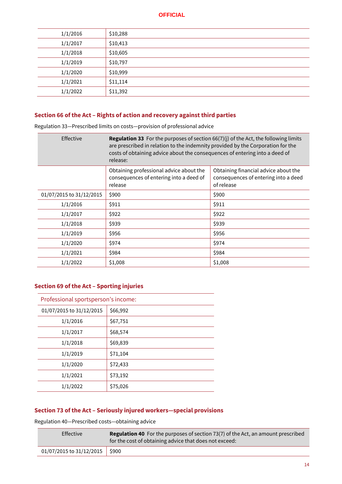| 1/1/2016 | \$10,288 |
|----------|----------|
| 1/1/2017 | \$10,413 |
| 1/1/2018 | \$10,605 |
| 1/1/2019 | \$10,797 |
| 1/1/2020 | \$10,999 |
| 1/1/2021 | \$11,114 |
| 1/1/2022 | \$11,392 |

# <span id="page-15-0"></span>**Section 66 of the Act – Rights of action and recovery against third parties**

Regulation 33―Prescribed limits on costs―provision of professional advice

| Effective                | <b>Regulation 33</b> For the purposes of section $66(7)(j)$ of the Act, the following limits<br>are prescribed in relation to the indemnity provided by the Corporation for the<br>costs of obtaining advice about the consequences of entering into a deed of<br>release: |                                                                                            |  |
|--------------------------|----------------------------------------------------------------------------------------------------------------------------------------------------------------------------------------------------------------------------------------------------------------------------|--------------------------------------------------------------------------------------------|--|
|                          | Obtaining professional advice about the<br>consequences of entering into a deed of<br>release                                                                                                                                                                              | Obtaining financial advice about the<br>consequences of entering into a deed<br>of release |  |
| 01/07/2015 to 31/12/2015 | \$900                                                                                                                                                                                                                                                                      | \$900                                                                                      |  |
| 1/1/2016                 | \$911                                                                                                                                                                                                                                                                      | \$911                                                                                      |  |
| 1/1/2017                 | \$922                                                                                                                                                                                                                                                                      | \$922                                                                                      |  |
| 1/1/2018                 | \$939                                                                                                                                                                                                                                                                      | \$939                                                                                      |  |
| 1/1/2019                 | \$956                                                                                                                                                                                                                                                                      | \$956                                                                                      |  |
| 1/1/2020                 | \$974                                                                                                                                                                                                                                                                      | \$974                                                                                      |  |
| 1/1/2021                 | \$984                                                                                                                                                                                                                                                                      | \$984                                                                                      |  |
| 1/1/2022                 | \$1,008                                                                                                                                                                                                                                                                    | \$1,008                                                                                    |  |

# <span id="page-15-1"></span>**Section 69 of the Act – Sporting injuries**

| Professional sportsperson's income: |          |
|-------------------------------------|----------|
| 01/07/2015 to 31/12/2015            | \$66,992 |
| 1/1/2016                            | \$67,751 |
| 1/1/2017                            | \$68,574 |
| 1/1/2018                            | \$69,839 |
| 1/1/2019                            | \$71,104 |
| 1/1/2020                            | \$72,433 |
| 1/1/2021                            | \$73,192 |
| 1/1/2022                            | \$75,026 |
|                                     |          |

# <span id="page-15-2"></span>**Section 73 of the Act – Seriously injured workers―special provisions**

Regulation 40―Prescribed costs―obtaining advice

| Effective                            | <b>Regulation 40</b> For the purposes of section 73(7) of the Act, an amount prescribed<br>for the cost of obtaining advice that does not exceed: |
|--------------------------------------|---------------------------------------------------------------------------------------------------------------------------------------------------|
| $01/07/2015$ to $31/12/2015$   \$900 |                                                                                                                                                   |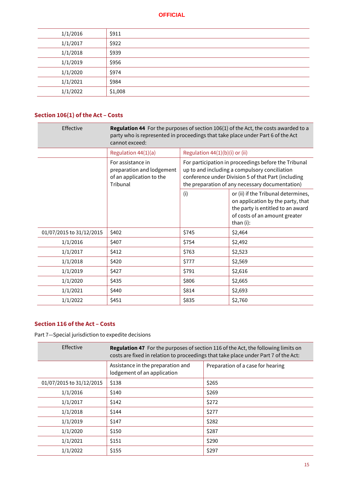| 1/1/2016 | \$911   |
|----------|---------|
| 1/1/2017 | \$922   |
| 1/1/2018 | \$939   |
| 1/1/2019 | \$956   |
| 1/1/2020 | \$974   |
| 1/1/2021 | \$984   |
| 1/1/2022 | \$1,008 |

# <span id="page-16-0"></span>**Section 106(1) of the Act – Costs**

| Effective                | Regulation 44 For the purposes of section 106(1) of the Act, the costs awarded to a<br>party who is represented in proceedings that take place under Part 6 of the Act<br>cannot exceed: |                                  |                                                                                                                                                                                                                 |  |
|--------------------------|------------------------------------------------------------------------------------------------------------------------------------------------------------------------------------------|----------------------------------|-----------------------------------------------------------------------------------------------------------------------------------------------------------------------------------------------------------------|--|
|                          | Regulation 44(1)(a)                                                                                                                                                                      | Regulation $44(1)(b)(i)$ or (ii) |                                                                                                                                                                                                                 |  |
|                          | For assistance in<br>preparation and lodgement<br>of an application to the<br>Tribunal                                                                                                   |                                  | For participation in proceedings before the Tribunal<br>up to and including a compulsory conciliation<br>conference under Division 5 of that Part (including<br>the preparation of any necessary documentation) |  |
|                          |                                                                                                                                                                                          | (i)                              | or (ii) if the Tribunal determines,<br>on application by the party, that<br>the party is entitled to an award<br>of costs of an amount greater<br>than (i):                                                     |  |
| 01/07/2015 to 31/12/2015 | \$402                                                                                                                                                                                    | \$745                            | \$2,464                                                                                                                                                                                                         |  |
| 1/1/2016                 | \$407                                                                                                                                                                                    | \$754                            | \$2,492                                                                                                                                                                                                         |  |
| 1/1/2017                 | \$412                                                                                                                                                                                    | \$763                            | \$2,523                                                                                                                                                                                                         |  |
| 1/1/2018                 | \$420                                                                                                                                                                                    | \$777                            | \$2,569                                                                                                                                                                                                         |  |
| 1/1/2019                 | \$427                                                                                                                                                                                    | \$791                            | \$2,616                                                                                                                                                                                                         |  |
| 1/1/2020                 | \$435                                                                                                                                                                                    | \$806                            | \$2,665                                                                                                                                                                                                         |  |
| 1/1/2021                 | \$440                                                                                                                                                                                    | \$814                            | \$2,693                                                                                                                                                                                                         |  |
| 1/1/2022                 | \$451                                                                                                                                                                                    | \$835                            | \$2,760                                                                                                                                                                                                         |  |

#### <span id="page-16-1"></span>**Section 116 of the Act – Costs**

Part 7—Special jurisdiction to expedite decisions

| Effective                | <b>Regulation 47</b> For the purposes of section 116 of the Act, the following limits on<br>costs are fixed in relation to proceedings that take place under Part 7 of the Act: |                                   |  |
|--------------------------|---------------------------------------------------------------------------------------------------------------------------------------------------------------------------------|-----------------------------------|--|
|                          | Assistance in the preparation and<br>lodgement of an application                                                                                                                | Preparation of a case for hearing |  |
| 01/07/2015 to 31/12/2015 | \$138                                                                                                                                                                           | \$265                             |  |
| 1/1/2016                 | \$140                                                                                                                                                                           | \$269                             |  |
| 1/1/2017                 | \$142                                                                                                                                                                           | \$272                             |  |
| 1/1/2018                 | \$144                                                                                                                                                                           | \$277                             |  |
| 1/1/2019                 | \$147                                                                                                                                                                           | \$282                             |  |
| 1/1/2020                 | \$150                                                                                                                                                                           | \$287                             |  |
| 1/1/2021                 | \$151                                                                                                                                                                           | \$290                             |  |
| 1/1/2022                 | \$155                                                                                                                                                                           | \$297                             |  |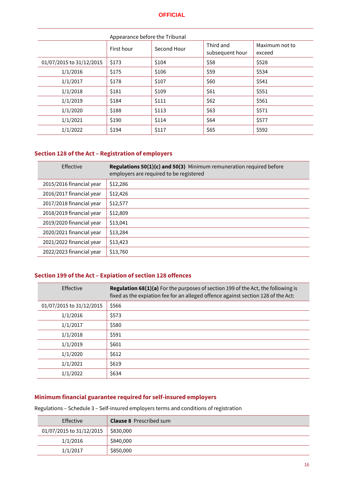| Appearance before the Tribunal |            |             |                              |                          |
|--------------------------------|------------|-------------|------------------------------|--------------------------|
|                                | First hour | Second Hour | Third and<br>subsequent hour | Maximum not to<br>exceed |
| 01/07/2015 to 31/12/2015       | \$173      | \$104       | \$58                         | \$528                    |
| 1/1/2016                       | \$175      | \$106       | \$59                         | \$534                    |
| 1/1/2017                       | \$178      | \$107       | \$60                         | \$541                    |
| 1/1/2018                       | \$181      | \$109       | \$61                         | \$551                    |
| 1/1/2019                       | \$184      | \$111       | \$62                         | \$561                    |
| 1/1/2020                       | \$188      | \$113       | \$63                         | \$571                    |
| 1/1/2021                       | \$190      | \$114       | \$64                         | \$577                    |
| 1/1/2022                       | \$194      | \$117       | \$65                         | \$592                    |

# <span id="page-17-0"></span>**Section 128 of the Act – Registration of employers**

| Effective                | Regulations 50(1)(c) and 50(3) Minimum remuneration required before<br>employers are required to be registered |
|--------------------------|----------------------------------------------------------------------------------------------------------------|
| 2015/2016 financial year | \$12,286                                                                                                       |
| 2016/2017 financial year | \$12,426                                                                                                       |
| 2017/2018 financial year | \$12,577                                                                                                       |
| 2018/2019 financial year | \$12,809                                                                                                       |
| 2019/2020 financial year | \$13,041                                                                                                       |
| 2020/2021 financial year | \$13,284                                                                                                       |
| 2021/2022 financial year | \$13,423                                                                                                       |
| 2022/2023 financial year | \$13,760                                                                                                       |

# <span id="page-17-1"></span>**Section 199 of the Act – Expiation of section 128 offences**

| Effective                | <b>Regulation 68(1)(a)</b> For the purposes of section 199 of the Act, the following is<br>fixed as the expiation fee for an alleged offence against section 128 of the Act: |
|--------------------------|------------------------------------------------------------------------------------------------------------------------------------------------------------------------------|
| 01/07/2015 to 31/12/2015 | \$566                                                                                                                                                                        |
| 1/1/2016                 | \$573                                                                                                                                                                        |
| 1/1/2017                 | \$580                                                                                                                                                                        |
| 1/1/2018                 | \$591                                                                                                                                                                        |
| 1/1/2019                 | \$601                                                                                                                                                                        |
| 1/1/2020                 | \$612                                                                                                                                                                        |
| 1/1/2021                 | \$619                                                                                                                                                                        |
| 1/1/2022                 | \$634                                                                                                                                                                        |

# <span id="page-17-2"></span>**Minimum financial guarantee required for self-insured employers**

Regulations – Schedule 3 – Self-insured employers terms and conditions of registration

| Effective                | <b>Clause 8</b> Prescribed sum |
|--------------------------|--------------------------------|
| 01/07/2015 to 31/12/2015 | \$830,000                      |
| 1/1/2016                 | \$840,000                      |
| 1/1/2017                 | \$850,000                      |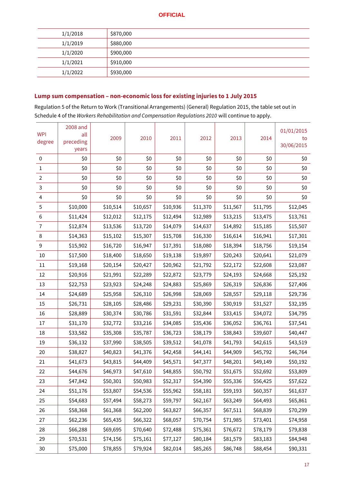| 1/1/2018 | \$870,000 |
|----------|-----------|
| 1/1/2019 | \$880,000 |
| 1/1/2020 | \$900,000 |
| 1/1/2021 | \$910,000 |
| 1/1/2022 | \$930,000 |

# <span id="page-18-0"></span>**Lump sum compensation – non-economic loss for existing injuries to 1 July 2015**

Regulation 5 of the Return to Work (Transitional Arrangements) (General) Regulation 2015, the table set out in Schedule 4 of the *Workers Rehabilitation and Compensation Regulations 2010* will continue to apply.

| <b>WPI</b><br>degree | 2008 and<br>all<br>preceding<br>years | 2009     | 2010     | 2011     | 2012     | 2013     | 2014     | 01/01/2015<br>to<br>30/06/2015 |
|----------------------|---------------------------------------|----------|----------|----------|----------|----------|----------|--------------------------------|
| 0                    | \$0                                   | \$0      | \$0      | \$0      | \$0      | \$0      | \$0      | \$0                            |
| 1                    | \$0                                   | \$0      | \$0      | \$0      | \$0      | \$0      | \$0      | \$0                            |
| 2                    | \$0                                   | \$0      | \$0      | \$0      | \$0      | \$0      | \$0      | \$0                            |
| 3                    | \$0                                   | \$0      | \$0      | \$0      | \$0      | \$0      | \$0      | \$0                            |
| 4                    | \$0                                   | \$0      | \$0      | \$0      | \$0      | \$0      | \$0      | \$0                            |
| 5                    | \$10,000                              | \$10,514 | \$10,657 | \$10,936 | \$11,370 | \$11,567 | \$11,795 | \$12,045                       |
| 6                    | \$11,424                              | \$12,012 | \$12,175 | \$12,494 | \$12,989 | \$13,215 | \$13,475 | \$13,761                       |
| 7                    | \$12,874                              | \$13,536 | \$13,720 | \$14,079 | \$14,637 | \$14,892 | \$15,185 | \$15,507                       |
| 8                    | \$14,363                              | \$15,102 | \$15,307 | \$15,708 | \$16,330 | \$16,614 | \$16,941 | \$17,301                       |
| 9                    | \$15,902                              | \$16,720 | \$16,947 | \$17,391 | \$18,080 | \$18,394 | \$18,756 | \$19,154                       |
| 10                   | \$17,500                              | \$18,400 | \$18,650 | \$19,138 | \$19,897 | \$20,243 | \$20,641 | \$21,079                       |
| 11                   | \$19,168                              | \$20,154 | \$20,427 | \$20,962 | \$21,792 | \$22,172 | \$22,608 | \$23,087                       |
| 12                   | \$20,916                              | \$21,991 | \$22,289 | \$22,872 | \$23,779 | \$24,193 | \$24,668 | \$25,192                       |
| 13                   | \$22,753                              | \$23,923 | \$24,248 | \$24,883 | \$25,869 | \$26,319 | \$26,836 | \$27,406                       |
| 14                   | \$24,689                              | \$25,958 | \$26,310 | \$26,998 | \$28,069 | \$28,557 | \$29,118 | \$29,736                       |
| 15                   | \$26,731                              | \$28,105 | \$28,486 | \$29,231 | \$30,390 | \$30,919 | \$31,527 | \$32,195                       |
| 16                   | \$28,889                              | \$30,374 | \$30,786 | \$31,591 | \$32,844 | \$33,415 | \$34,072 | \$34,795                       |
| 17                   | \$31,170                              | \$32,772 | \$33,216 | \$34,085 | \$35,436 | \$36,052 | \$36,761 | \$37,541                       |
| 18                   | \$33,582                              | \$35,308 | \$35,787 | \$36,723 | \$38,179 | \$38,843 | \$39,607 | \$40,447                       |
| 19                   | \$36,132                              | \$37,990 | \$38,505 | \$39,512 | \$41,078 | \$41,793 | \$42,615 | \$43,519                       |
| 20                   | \$38,827                              | \$40,823 | \$41,376 | \$42,458 | \$44,141 | \$44,909 | \$45,792 | \$46,764                       |
| 21                   | \$41,673                              | \$43,815 | \$44,409 | \$45,571 | \$47,377 | \$48,201 | \$49,149 | \$50,192                       |
| 22                   | \$44,676                              | \$46,973 | \$47,610 | \$48,855 | \$50,792 | \$51,675 | \$52,692 | \$53,809                       |
| 23                   | \$47,842                              | \$50,301 | \$50,983 | \$52,317 | \$54,390 | \$55,336 | \$56,425 | \$57,622                       |
| 24                   | \$51,176                              | \$53,807 | \$54,536 | \$55,962 | \$58,181 | \$59,193 | \$60,357 | \$61,637                       |
| 25                   | \$54,683                              | \$57,494 | \$58,273 | \$59,797 | \$62,167 | \$63,249 | \$64,493 | \$65,861                       |
| 26                   | \$58,368                              | \$61,368 | \$62,200 | \$63,827 | \$66,357 | \$67,511 | \$68,839 | \$70,299                       |
| 27                   | \$62,236                              | \$65,435 | \$66,322 | \$68,057 | \$70,754 | \$71,985 | \$73,401 | \$74,958                       |
| 28                   | \$66,288                              | \$69,695 | \$70,640 | \$72,488 | \$75,361 | \$76,672 | \$78,179 | \$79,838                       |
| 29                   | \$70,531                              | \$74,156 | \$75,161 | \$77,127 | \$80,184 | \$81,579 | \$83,183 | \$84,948                       |
| $30\,$               | \$75,000                              | \$78,855 | \$79,924 | \$82,014 | \$85,265 | \$86,748 | \$88,454 | \$90,331                       |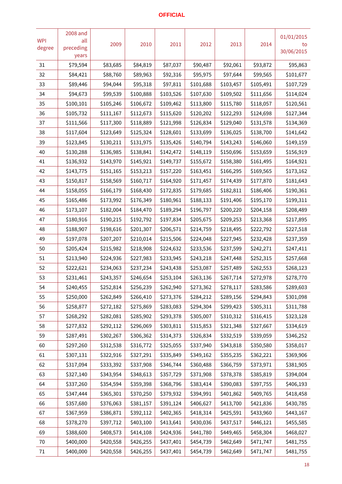| <b>WPI</b><br>degree | 2008 and<br>all<br>preceding<br>years | 2009      | 2010      | 2011      | 2012      | 2013      | 2014      | 01/01/2015<br>to<br>30/06/2015 |
|----------------------|---------------------------------------|-----------|-----------|-----------|-----------|-----------|-----------|--------------------------------|
| 31                   | \$79,594                              | \$83,685  | \$84,819  | \$87,037  | \$90,487  | \$92,061  | \$93,872  | \$95,863                       |
| 32                   | \$84,421                              | \$88,760  | \$89,963  | \$92,316  | \$95,975  | \$97,644  | \$99,565  | \$101,677                      |
| 33                   | \$89,446                              | \$94,044  | \$95,318  | \$97,811  | \$101,688 | \$103,457 | \$105,491 | \$107,729                      |
| 34                   | \$94,673                              | \$99,539  | \$100,888 | \$103,526 | \$107,630 | \$109,502 | \$111,656 | \$114,024                      |
| 35                   | \$100,101                             | \$105,246 | \$106,672 | \$109,462 | \$113,800 | \$115,780 | \$118,057 | \$120,561                      |
| 36                   | \$105,732                             | \$111,167 | \$112,673 | \$115,620 | \$120,202 | \$122,293 | \$124,698 | \$127,344                      |
| 37                   | \$111,566                             | \$117,300 | \$118,889 | \$121,998 | \$126,834 | \$129,040 | \$131,578 | \$134,369                      |
| 38                   | \$117,604                             | \$123,649 | \$125,324 | \$128,601 | \$133,699 | \$136,025 | \$138,700 | \$141,642                      |
| 39                   | \$123,845                             | \$130,211 | \$131,975 | \$135,426 | \$140,794 | \$143,243 | \$146,060 | \$149,159                      |
| 40                   | \$130,288                             | \$136,985 | \$138,841 | \$142,472 | \$148,119 | \$150,696 | \$153,659 | \$156,919                      |
| 41                   | \$136,932                             | \$143,970 | \$145,921 | \$149,737 | \$155,672 | \$158,380 | \$161,495 | \$164,921                      |
| 42                   | \$143,775                             | \$151,165 | \$153,213 | \$157,220 | \$163,451 | \$166,295 | \$169,565 | \$173,162                      |
| 43                   | \$150,817                             | \$158,569 | \$160,717 | \$164,920 | \$171,457 | \$174,439 | \$177,870 | \$181,643                      |
| 44                   | \$158,055                             | \$166,179 | \$168,430 | \$172,835 | \$179,685 | \$182,811 | \$186,406 | \$190,361                      |
| 45                   | \$165,486                             | \$173,992 | \$176,349 | \$180,961 | \$188,133 | \$191,406 | \$195,170 | \$199,311                      |
| 46                   | \$173,107                             | \$182,004 | \$184,470 | \$189,294 | \$196,797 | \$200,220 | \$204,158 | \$208,489                      |
| 47                   | \$180,916                             | \$190,215 | \$192,792 | \$197,834 | \$205,675 | \$209,253 | \$213,368 | \$217,895                      |
| 48                   | \$188,907                             | \$198,616 | \$201,307 | \$206,571 | \$214,759 | \$218,495 | \$222,792 | \$227,518                      |
| 49                   | \$197,078                             | \$207,207 | \$210,014 | \$215,506 | \$224,048 | \$227,945 | \$232,428 | \$237,359                      |
| 50                   | \$205,424                             | \$215,982 | \$218,908 | \$224,632 | \$233,536 | \$237,599 | \$242,271 | \$247,411                      |
| 51                   | \$213,940                             | \$224,936 | \$227,983 | \$233,945 | \$243,218 | \$247,448 | \$252,315 | \$257,668                      |
| 52                   | \$222,621                             | \$234,063 | \$237,234 | \$243,438 | \$253,087 | \$257,489 | \$262,553 | \$268,123                      |
| 53                   | \$231,461                             | \$243,357 | \$246,654 | \$253,104 | \$263,136 | \$267,714 | \$272,978 | \$278,770                      |
| 54                   | \$240,455                             | \$252,814 | \$256,239 | \$262,940 | \$273,362 | \$278,117 | \$283,586 | \$289,603                      |
| 55                   | \$250,000                             | \$262,849 | \$266,410 | \$273,376 | \$284,212 | \$289,156 | \$294,843 | \$301,098                      |
| 56                   | \$258,877                             | \$272,182 | \$275,869 | \$283,083 | \$294,304 | \$299,423 | \$305,311 | \$311,788                      |
| 57                   | \$268,292                             | \$282,081 | \$285,902 | \$293,378 | \$305,007 | \$310,312 | \$316,415 | \$323,128                      |
| 58                   | \$277,832                             | \$292,112 | \$296,069 | \$303,811 | \$315,853 | \$321,348 | \$327,667 | \$334,619                      |
| 59                   | \$287,491                             | \$302,267 | \$306,362 | \$314,373 | \$326,834 | \$332,519 | \$339,059 | \$346,252                      |
| 60                   | \$297,260                             | \$312,538 | \$316,772 | \$325,055 | \$337,940 | \$343,818 | \$350,580 | \$358,017                      |
| 61                   | \$307,131                             | \$322,916 | \$327,291 | \$335,849 | \$349,162 | \$355,235 | \$362,221 | \$369,906                      |
| 62                   | \$317,094                             | \$333,392 | \$337,908 | \$346,744 | \$360,488 | \$366,759 | \$373,971 | \$381,905                      |
| 63                   | \$327,140                             | \$343,954 | \$348,613 | \$357,729 | \$371,908 | \$378,378 | \$385,819 | \$394,004                      |
| 64                   | \$337,260                             | \$354,594 | \$359,398 | \$368,796 | \$383,414 | \$390,083 | \$397,755 | \$406,193                      |
| 65                   | \$347,444                             | \$365,301 | \$370,250 | \$379,932 | \$394,991 | \$401,862 | \$409,765 | \$418,458                      |
| 66                   | \$357,680                             | \$376,063 | \$381,157 | \$391,124 | \$406,627 | \$413,700 | \$421,836 | \$430,785                      |
| 67                   | \$367,959                             | \$386,871 | \$392,112 | \$402,365 | \$418,314 | \$425,591 | \$433,960 | \$443,167                      |
| 68                   | \$378,270                             | \$397,712 | \$403,100 | \$413,641 | \$430,036 | \$437,517 | \$446,121 | \$455,585                      |
| 69                   | \$388,600                             | \$408,573 | \$414,108 | \$424,936 | \$441,780 | \$449,465 | \$458,304 | \$468,027                      |
| $70\,$               | \$400,000                             | \$420,558 | \$426,255 | \$437,401 | \$454,739 | \$462,649 | \$471,747 | \$481,755                      |
| 71                   | \$400,000                             | \$420,558 | \$426,255 | \$437,401 | \$454,739 | \$462,649 | \$471,747 | \$481,755                      |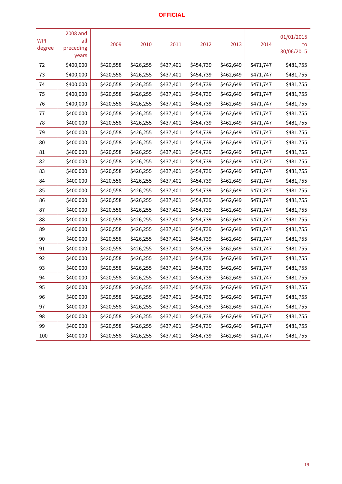| <b>WPI</b><br>degree | 2008 and<br>all<br>preceding<br>years | 2009      | 2010      | 2011      | 2012      | 2013      | 2014      | 01/01/2015<br>to<br>30/06/2015 |
|----------------------|---------------------------------------|-----------|-----------|-----------|-----------|-----------|-----------|--------------------------------|
| 72                   | \$400,000                             | \$420,558 | \$426,255 | \$437,401 | \$454,739 | \$462,649 | \$471,747 | \$481,755                      |
| 73                   | \$400,000                             | \$420,558 | \$426,255 | \$437,401 | \$454,739 | \$462,649 | \$471,747 | \$481,755                      |
| 74                   | \$400,000                             | \$420,558 | \$426,255 | \$437,401 | \$454,739 | \$462,649 | \$471,747 | \$481,755                      |
| 75                   | \$400,000                             | \$420,558 | \$426,255 | \$437,401 | \$454,739 | \$462,649 | \$471,747 | \$481,755                      |
| 76                   | \$400,000                             | \$420,558 | \$426,255 | \$437,401 | \$454,739 | \$462,649 | \$471,747 | \$481,755                      |
| 77                   | \$400 000                             | \$420,558 | \$426,255 | \$437,401 | \$454,739 | \$462,649 | \$471,747 | \$481,755                      |
| 78                   | \$400 000                             | \$420,558 | \$426,255 | \$437,401 | \$454,739 | \$462,649 | \$471,747 | \$481,755                      |
| 79                   | \$400 000                             | \$420,558 | \$426,255 | \$437,401 | \$454,739 | \$462,649 | \$471,747 | \$481,755                      |
| 80                   | \$400 000                             | \$420,558 | \$426,255 | \$437,401 | \$454,739 | \$462,649 | \$471,747 | \$481,755                      |
| 81                   | \$400 000                             | \$420,558 | \$426,255 | \$437,401 | \$454,739 | \$462,649 | \$471,747 | \$481,755                      |
| 82                   | \$400 000                             | \$420,558 | \$426,255 | \$437,401 | \$454,739 | \$462,649 | \$471,747 | \$481,755                      |
| 83                   | \$400 000                             | \$420,558 | \$426,255 | \$437,401 | \$454,739 | \$462,649 | \$471,747 | \$481,755                      |
| 84                   | \$400 000                             | \$420,558 | \$426,255 | \$437,401 | \$454,739 | \$462,649 | \$471,747 | \$481,755                      |
| 85                   | \$400 000                             | \$420,558 | \$426,255 | \$437,401 | \$454,739 | \$462,649 | \$471,747 | \$481,755                      |
| 86                   | \$400 000                             | \$420,558 | \$426,255 | \$437,401 | \$454,739 | \$462,649 | \$471,747 | \$481,755                      |
| 87                   | \$400 000                             | \$420,558 | \$426,255 | \$437,401 | \$454,739 | \$462,649 | \$471,747 | \$481,755                      |
| 88                   | \$400 000                             | \$420,558 | \$426,255 | \$437,401 | \$454,739 | \$462,649 | \$471,747 | \$481,755                      |
| 89                   | \$400 000                             | \$420,558 | \$426,255 | \$437,401 | \$454,739 | \$462,649 | \$471,747 | \$481,755                      |
| 90                   | \$400 000                             | \$420,558 | \$426,255 | \$437,401 | \$454,739 | \$462,649 | \$471,747 | \$481,755                      |
| 91                   | \$400 000                             | \$420,558 | \$426,255 | \$437,401 | \$454,739 | \$462,649 | \$471,747 | \$481,755                      |
| 92                   | \$400 000                             | \$420,558 | \$426,255 | \$437,401 | \$454,739 | \$462,649 | \$471,747 | \$481,755                      |
| 93                   | \$400 000                             | \$420,558 | \$426,255 | \$437,401 | \$454,739 | \$462,649 | \$471,747 | \$481,755                      |
| 94                   | \$400 000                             | \$420,558 | \$426,255 | \$437,401 | \$454,739 | \$462,649 | \$471,747 | \$481,755                      |
| 95                   | \$400 000                             | \$420,558 | \$426,255 | \$437,401 | \$454,739 | \$462,649 | \$471,747 | \$481,755                      |
| 96                   | \$400 000                             | \$420,558 | \$426,255 | \$437,401 | \$454,739 | \$462,649 | \$471,747 | \$481,755                      |
| 97                   | \$400 000                             | \$420,558 | \$426,255 | \$437,401 | \$454,739 | \$462,649 | \$471,747 | \$481,755                      |
| 98                   | \$400 000                             | \$420,558 | \$426,255 | \$437,401 | \$454,739 | \$462,649 | \$471,747 | \$481,755                      |
| 99                   | \$400 000                             | \$420,558 | \$426,255 | \$437,401 | \$454,739 | \$462,649 | \$471,747 | \$481,755                      |
| 100                  | \$400 000                             | \$420,558 | \$426,255 | \$437,401 | \$454,739 | \$462,649 | \$471,747 | \$481,755                      |